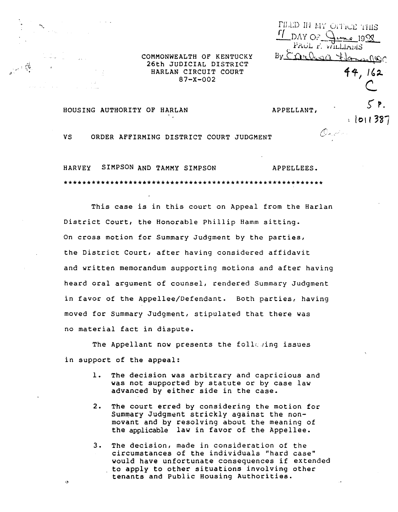COMMONWEALTH OF KENTUCKY 26th JUDICIAL DISTRICT HARLAN CIRCUIT COURT  $87 - X - 002$ 

HOUSING AUTHORITY OF HARLAN

المستوفي والمستور والمتحام

 $\alpha$ 

APPELLANT.

 $\frac{f}{f}$  DAY OF  $\frac{f}{f}$ 

PILLID IN MY OPPICE THIS

PAOL F. WILLIAMS By Carlesa Flanspior

On de c

 $-20.199$ 

44. 162

1011387

ORDER AFFIRMING DISTRICT COURT JUDGMENT **VS** 

**HARVEY** SIMPSON AND TAMMY SIMPSON APPELLEES. 

This case is in this court on Appeal from the Harlan District Court, the Honorable Phillip Hamm sitting. On cross motion for Summary Judgment by the parties, the District Court, after having considered affidavit and written memorandum supporting motions and after having heard oral argument of counsel, rendered Summary Judgment in favor of the Appellee/Defendant. Both parties, having moved for Summary Judgment, stipulated that there was no material fact in dispute.

The Appellant now presents the follewing issues in support of the appeal:

- The decision was arbitrary and capricious and was not supported by statute or by case law advanced by either side in the case.
- $2.$ The court erred by considering the motion for Summary Judgment strickly against the nonmovant and by resolving about the meaning of the applicable law in favor of the Appellee.
- The decision, made in consideration of the 3. circumstances of the individuals "hard case" would have unfortunate consequences if extended to apply to other situations involving other tenants and Public Housing Authorities.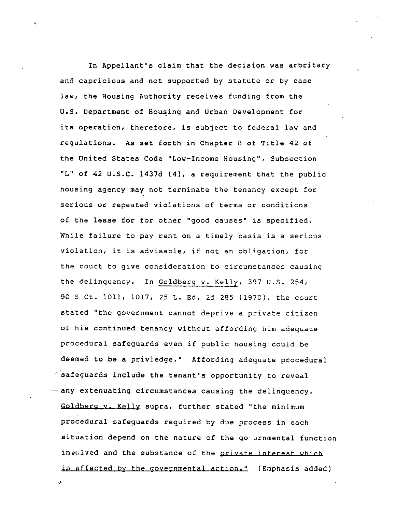In Appellant's claim that the decision was arbritary and capricious and not supported by statute or by case law, the Housing Authority receives funding from the U.S. Department of Housing and Urban Development for its operation, therefore, is subject to federal law and regulations. As set forth in Chapter 8 of Title 42 of the United States Code "Low-Income Housing", Subsection "L" of 42 U.S.C. 1437d (4), a requirement that the public housing agency may not terminate the tenancy except for serious or repeated violations of terms or conditions of the lease for for other "good causes" is specified. While failure to pay rent on a timely basis is a serious violation, it is advisable, if not an obligation, for the court to give consideration to circumstances causing the delinquency. In Goldberg v. Kelly, 397 U.S. 254, 90 S Ct. 1011, 1017, 25 L. Ed. 2d 285 (1970), the court stated "the government cannot deprive a private citizen of his continued tenancy without affording him adequate procedural safeguards even if public housing could be deemed to be a privledge." Affording adequate procedural  $\sigma$  safeguards include the tenant's opportunity to reveal any extenuating circumstances causing the delinquency. Goldberg v. Kelly supra, further stated "the minimum procedural safeguards required by due process in each situation depend on the nature of the go ernmental function in yolved and the substance of the private interest which is affected by the governmental action." (Emphasis added)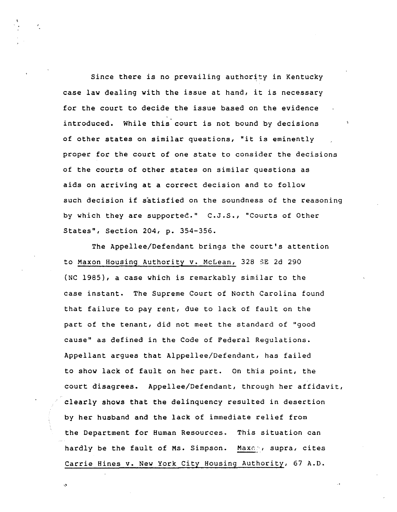Since there is no prevailing authority in Kentucky case law dealing with the issue at hand, it is necessary for the court to decide the issue based on the evidence introduced. While this court is not bound by decisions of other states on similar questions, "it is eminently proper for the court of one state to consider the decisions of the courts of other states on similar questions as aids on arriving at a correct decision and to follOW such decision if satisfied on the soundness of the reasoning by which they are supported." C.J.S., "Courts of Other States", Section 204, p. 354-356.

The Appellee/Defendant brings the court's attention to Maxon Housing Authority v. McLean, 328 5E 2d 290 (NC 1985), a case which is remarkably similar to the case instant. The Supreme Court of North Carolina found that failure to pay rent, due to lack of fault on the part of the tenant, did not meet the standard of "good cause" as defined in the Code of Federal Regulations. Appellant argues that Alppellee/Defendant, has failed to show lack of fault on her part. On this point, the court disagrees. Appellee/Defendant, through her affidavit, clearly shows that the delinquency resulted in desertion by her husband and the lack of immediate relief from the Department for Human Resources. This situation can hardly be the fault of Ms. Simpson. Maxon, supra, cites Carrie Hines v. New York City Housing Authority, 67 A.D.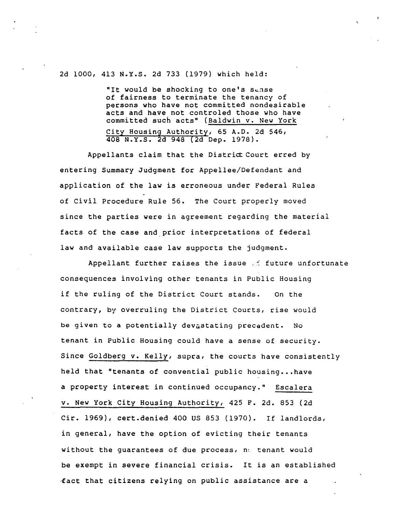2d 1000, 413 N.Y.S. 2d 733 (1979) which held:

"It would be shocking to one's sense of fairness to terminate the tenancy of persons who have not committed nondesirable acts and have not controled those who have committed such acts" (Baldwin v. New York City Housing Authority, 65 A.D. 2d 546, 408 N.Y.S. 2d 948 (2d Dep. 1978).

Appellants claim that the District Court erred by entering Summary Judgment for Appellee/Defendant and application of the law is erroneous under Federal Rules of Civil Procedure Rule 56. The Court properly moved since the parties were in agreement regarding the material facts of the case and prior interpretations of federal law and available case law supports the judgment.

Appellant further raises the issue of future unfortunate consequences involving other tenants in Public Housing if the ruling of the District Court stands. On the contrary, by overruling the District Courts, rise would be given to a potentially devastating precedent. No tenant in Public Housing could have a sense of security. Since Goldberg v. Kelly, supra, the courts have consistently held that "tenants of convential public housing...have a property interest in continued occupancy." Escalera v. New York City Housing Authority, 425 F. 2d. 853 (2d Cir. 1969), cert.denied 400 US 853 (1970). If landlords, in general, have the option of evicting their tenants without the guarantees of due process,  $n_i$  tenant would be exempt in severe financial crisis. It is an established tact that citizens relying on public assistance are a